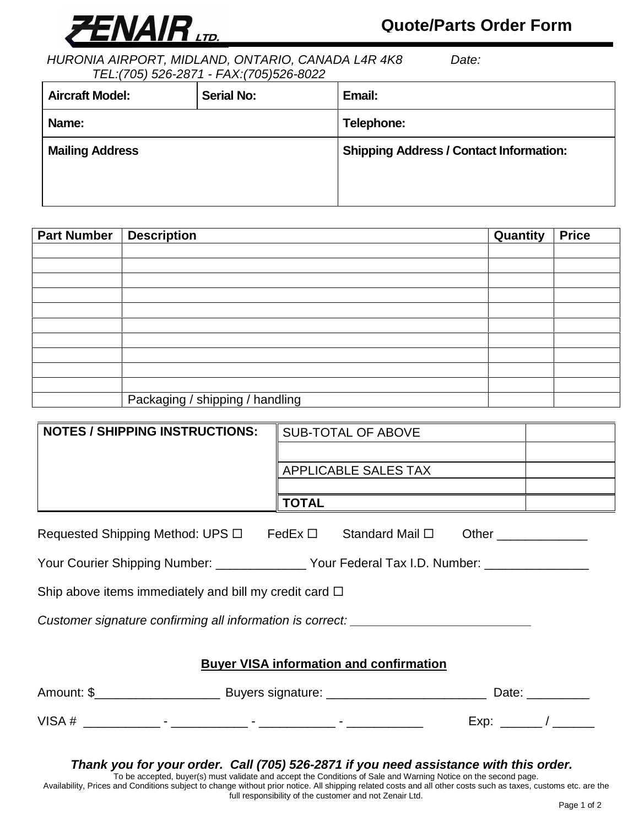

## **Quote/Parts Order Form**

HURONIA AIRPORT, MIDLAND, ONTARIO, CANADA L4R 4K8 Date: TEL:(705) 526-2871 - FAX:(705)526-8022

| <b>Aircraft Model:</b> | <b>Serial No:</b> | Email:                                         |  |
|------------------------|-------------------|------------------------------------------------|--|
| Name:                  |                   | Telephone:                                     |  |
| <b>Mailing Address</b> |                   | <b>Shipping Address / Contact Information:</b> |  |

| <b>Part Number</b> | <b>Description</b>              | Quantity | <b>Price</b> |
|--------------------|---------------------------------|----------|--------------|
|                    |                                 |          |              |
|                    |                                 |          |              |
|                    |                                 |          |              |
|                    |                                 |          |              |
|                    |                                 |          |              |
|                    |                                 |          |              |
|                    |                                 |          |              |
|                    |                                 |          |              |
|                    |                                 |          |              |
|                    |                                 |          |              |
|                    | Packaging / shipping / handling |          |              |

| <b>NOTES / SHIPPING INSTRUCTIONS:</b>                                                                                                                                                                                          | SUB-TOTAL OF ABOVE                                                                          |  |  |  |
|--------------------------------------------------------------------------------------------------------------------------------------------------------------------------------------------------------------------------------|---------------------------------------------------------------------------------------------|--|--|--|
|                                                                                                                                                                                                                                |                                                                                             |  |  |  |
|                                                                                                                                                                                                                                | APPLICABLE SALES TAX                                                                        |  |  |  |
|                                                                                                                                                                                                                                |                                                                                             |  |  |  |
|                                                                                                                                                                                                                                | <b>TOTAL</b>                                                                                |  |  |  |
| Requested Shipping Method: UPS $\Box$ FedEx $\Box$ Standard Mail $\Box$ Other __________                                                                                                                                       |                                                                                             |  |  |  |
|                                                                                                                                                                                                                                | Your Courier Shipping Number: _______________ Your Federal Tax I.D. Number: _______________ |  |  |  |
| Ship above items immediately and bill my credit card $\Box$                                                                                                                                                                    |                                                                                             |  |  |  |
| Customer signature confirming all information is correct: ______________________                                                                                                                                               |                                                                                             |  |  |  |
|                                                                                                                                                                                                                                |                                                                                             |  |  |  |
| <b>Buyer VISA information and confirmation</b>                                                                                                                                                                                 |                                                                                             |  |  |  |
| Date: the contract of the contract of the contract of the contract of the contract of the contract of the contract of the contract of the contract of the contract of the contract of the contract of the contract of the cont |                                                                                             |  |  |  |

## **Thank you for your order. Call (705) 526-2871 if you need assistance with this order.**

VISA # \_\_\_\_\_\_\_\_\_\_\_ - \_\_\_\_\_\_\_\_\_\_\_ - \_\_\_\_\_\_\_\_\_\_\_ - \_\_\_\_\_\_\_\_\_\_\_ Exp: \_\_\_\_\_\_ / \_\_\_\_\_\_

To be accepted, buyer(s) must validate and accept the Conditions of Sale and Warning Notice on the second page. Availability, Prices and Conditions subject to change without prior notice. All shipping related costs and all other costs such as taxes, customs etc. are the full responsibility of the customer and not Zenair Ltd.